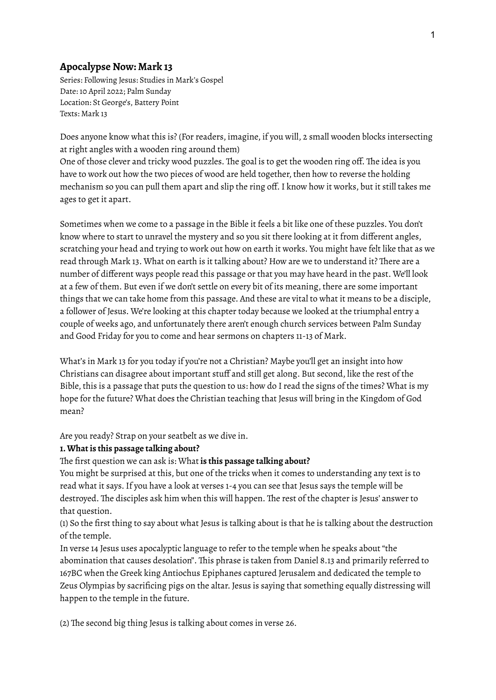## **Apocalypse Now: Mark 13**

Series: Following Jesus: Studies in Mark's Gospel Date: 10 April 2022; Palm Sunday Location: St George's, Battery Point Texts: Mark 13

Does anyone know what this is? (For readers, imagine, if you will, 2 small wooden blocks intersecting at right angles with a wooden ring around them)

One of those clever and tricky wood puzzles. The goal is to get the wooden ring off. The idea is you have to work out how the two pieces of wood are held together, then how to reverse the holding mechanism so you can pull them apart and slip the ring off.I know how it works, but it still takes me ages to get it apart.

Sometimes when we come to a passage in the Bible it feels a bit like one of these puzzles. You don't know where to start to unravel the mystery and so you sit there looking at it from different angles, scratching your head and trying to work out how on earth it works. You might have felt like that as we read through Mark 13. What on earth is it talking about? How are we to understand it? There are a number of different ways people read this passage or that you may have heard in the past. We'll look at a few of them. But even if we don't settle on every bit of its meaning, there are some important things that we can take home from this passage. And these are vital to what it means to be a disciple, a follower of Jesus. We're looking at this chapter today because we looked at the triumphal entry a couple of weeks ago, and unfortunately there aren't enough church services between Palm Sunday and Good Friday for you to come and hear sermons on chapters 11-13 of Mark.

What's in Mark 13 for you today if you're not a Christian? Maybe you'll get an insight into how Christians can disagree about important stuff and still get along. But second, like the rest of the Bible, this is a passage that puts the question to us: how do I read the signs of the times? What is my hope for the future? What does the Christian teaching that Jesus will bring in the Kingdom of God mean?

Are you ready? Strap on your seatbelt as we dive in.

## **1.What is this passage talking about?**

## The first question we can ask is: What **is this passage talking about?**

You might be surprised at this, but one of the tricks when it comes to understanding any text is to read what it says.If you have a look at verses 1-4 you can see that Jesus says the temple will be destroyed. The disciples ask him when this will happen. The rest of the chapter is Jesus' answer to that question.

(1) So the first thing to say about what Jesus is talking about is that he is talking about the destruction of the temple.

In verse 14 Jesus uses apocalyptic language to refer to the temple when he speaks about "the abomination that causes desolation". This phrase is taken from Daniel 8.13 and primarily referred to 167BC when the Greek king Antiochus Epiphanes captured Jerusalem and dedicated the temple to Zeus Olympias by sacrificing pigs on the altar. Jesus is saying that something equally distressing will happen to the temple in the future.

(2) The second big thing Jesus is talking about comes in verse 26.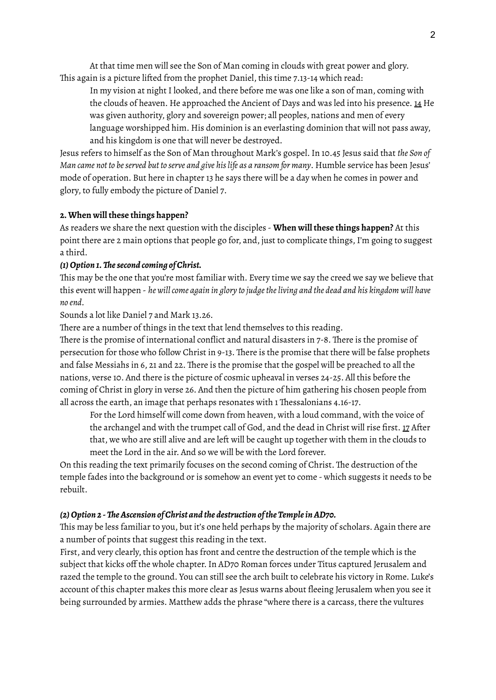At that time men will see the Son of Man coming in clouds with great power and glory. This again is a picture lifted from the prophet Daniel, this time 7.13-14 which read:

In my vision at night I looked, and there before me was one like a son of man, coming with the clouds of heaven. He approached the Ancient of Days and was led into his presence.  $14$  He was given authority, glory and sovereign power; all peoples, nations and men of every language worshipped him. His dominion is an everlasting dominion that will not pass away, and his kingdom is one that will never be destroyed.

Jesus refers to himself as the Son of Man throughout Mark's gospel.In 10.45 Jesus said that *the Son of Man came not to beserved but to serve and give hislife as a ransom for many*. Humble service has been Jesus' mode of operation. But here in chapter 13 he says there will be a day when he comes in power and glory, to fully embody the picture of Daniel 7.

## **2.When will these things happen?**

As readers we share the next question with the disciples - **When will these things happen?** At this point there are 2 main options that people go for, and, just to complicate things, I'm going to suggest a third.

## *(1)Option 1.Thesecond coming of Christ.*

This may be the one that you're most familiar with. Every time we say the creed we say we believe that this event will happen - *he willcome again in glory to judgetheliving and the dead and his kingdom will have no end.*

Sounds a lot like Daniel 7 and Mark 13.26.

There are a number of things in the text that lend themselves to this reading.

There is the promise of international conflict and natural disasters in 7-8. There is the promise of persecution for those who follow Christ in 9-13. There is the promise that there will be false prophets and false Messiahs in 6, 21 and 22. There is the promise that the gospel will be preached to all the nations, verse 10. And there is the picture of cosmic upheaval in verses 24-25. All this before the coming of Christ in glory in verse 26. And then the picture of him gathering his chosen people from all across the earth, an image that perhaps resonates with 1 Thessalonians 4.16-17.

For the Lord himself will come down from heaven, with a loud command, with the voice of the archangel and with the trumpet call of God, and the dead in Christ will rise first. 17 After that, we who are still alive and are left will be caught up together with them in the clouds to meet the Lord in the air. And so we will be with the Lord forever.

On this reading the text primarily focuses on the second coming of Christ. The destruction of the temple fades into the background or is somehow an event yet to come - which suggests it needs to be rebuilt.

#### *(2)Option 2 -TheAscension of Christ and the destruction ofthe TempleinAD70.*

This may be less familiar to you, but it's one held perhaps by the majority of scholars. Again there are a number of points that suggest this reading in the text.

First, and very clearly, this option has front and centre the destruction of the temple which is the subject that kicks off the whole chapter. In AD70 Roman forces under Titus captured Jerusalem and razed the temple to the ground. You can still see the arch built to celebrate his victory in Rome. Luke's account of this chapter makes this more clear as Jesus warns about fleeing Jerusalem when you see it being surrounded by armies. Matthew adds the phrase "where there is a carcass, there the vultures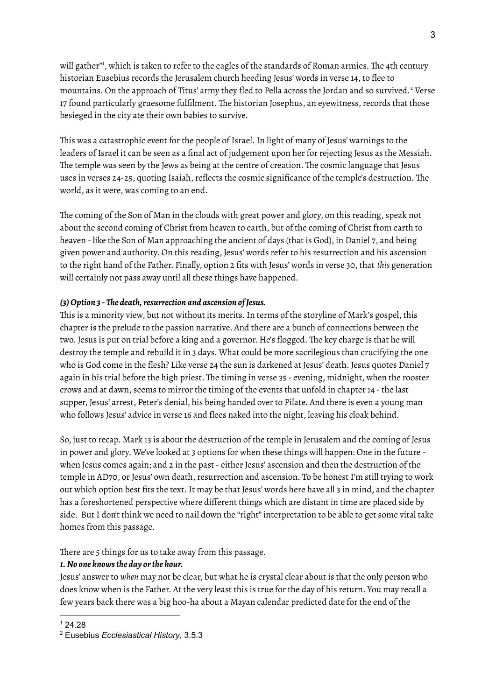will gather"<sup>1</sup>, which is taken to refer to the eagles of the standards of Roman armies. The 4th century historian Eusebius records the Jerusalem church heeding Jesus' words in verse 14, to flee to mountains. On the approach of Titus' army they fled to Pella across the Jordan and so survived.<sup>2</sup> Verse 17 found particularly gruesome fulfilment. The historian Josephus, an eyewitness, records that those besieged in the city ate their own babies to survive.

This was a catastrophic event for the people of Israel.In light of many of Jesus' warnings to the leaders of Israel it can be seen as a final act of judgement upon her for rejecting Jesus as the Messiah. The temple was seen by the Jews as being at the centre of creation. The cosmic language that Jesus uses in verses 24-25, quoting Isaiah, reflects the cosmic significance of the temple's destruction. The world, as it were, was coming to an end.

The coming of the Son of Man in the clouds with great power and glory, on this reading, speak not about the second coming of Christ from heaven to earth, but of the coming of Christ from earth to heaven - like the Son of Man approaching the ancient of days (that is God), in Daniel 7, and being given power and authority. On this reading, Jesus' words refer to his resurrection and his ascension to the right hand of the Father. Finally, option 2 fits with Jesus' words in verse 30, that *this* generation will certainly not pass away until all these things have happened.

# *(3)Option 3 -The death,resurrection and ascension ofJesus.*

This is a minority view, but not without its merits. In terms of the storyline of Mark's gospel, this chapter is the prelude to the passion narrative. And there are a bunch of connections between the two. Jesus is put on trial before a king and a governor. He's flogged. The key charge is that he will destroy the temple and rebuild it in 3 days. What could be more sacrilegious than crucifying the one who is God come in the flesh? Like verse 24 the sun is darkened at Jesus' death. Jesus quotes Daniel 7 again in his trial before the high priest. The timing in verse 35 - evening, midnight, when the rooster crows and at dawn, seems to mirror the timing of the events that unfold in chapter 14 -the last supper, Jesus' arrest, Peter's denial, his being handed over to Pilate. And there is even a young man who follows Jesus' advice in verse 16 and flees naked into the night, leaving his cloak behind.

So, just to recap. Mark 13 is about the destruction of the temple in Jerusalem and the coming of Jesus in power and glory. We've looked at 3 options for when these things will happen: One in the future when Jesus comes again; and 2 in the past- either Jesus' ascension and then the destruction of the temple in AD70, or Jesus' own death, resurrection and ascension. To be honest I'm still trying to work out which option best fits the text.It may be that Jesus' words here have all 3 in mind, and the chapter has a foreshortened perspective where different things which are distant in time are placed side by side. But I don't think we need to nail down the "right" interpretation to be able to get some vital take homes from this passage.

There are 5 things for us to take away from this passage.

# *1. No one knowsthe day orthe hour.*

Jesus' answer to *when* may not be clear, but what he is crystal clear about is that the only person who does know when is the Father. At the very least this is true for the day of his return. You may recall a few years back there was a big hoo-ha about a Mayan calendar predicted date for the end of the

 $124.28$ 

<sup>2</sup> Eusebius *Ecclesiastical History*, 3.5.3